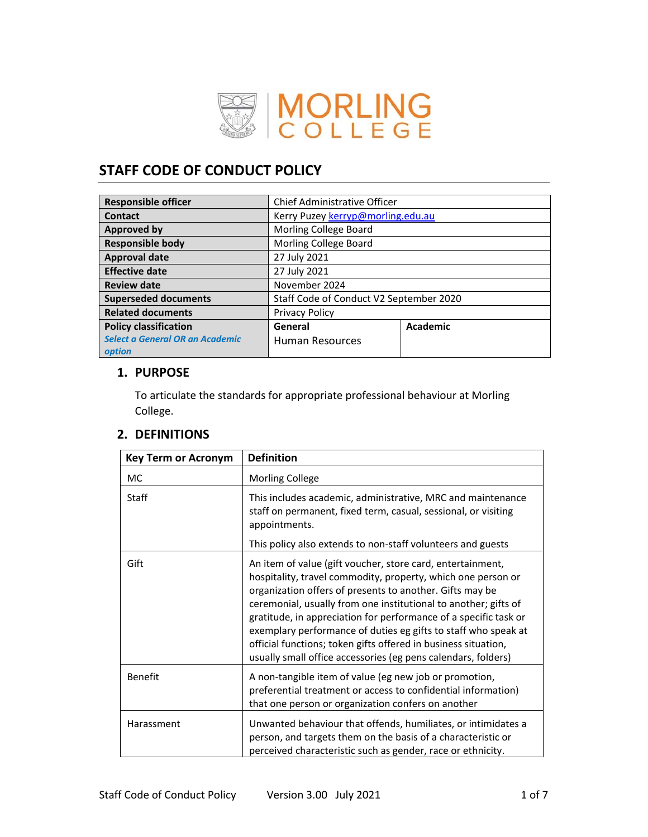

# **STAFF CODE OF CONDUCT POLICY**

| <b>Responsible officer</b>                | <b>Chief Administrative Officer</b>     |          |  |
|-------------------------------------------|-----------------------------------------|----------|--|
| Contact                                   | Kerry Puzey kerryp@morling.edu.au       |          |  |
| <b>Approved by</b>                        | Morling College Board                   |          |  |
| <b>Responsible body</b>                   | Morling College Board                   |          |  |
| <b>Approval date</b>                      | 27 July 2021                            |          |  |
| <b>Effective date</b>                     | 27 July 2021                            |          |  |
| <b>Review date</b>                        | November 2024                           |          |  |
| <b>Superseded documents</b>               | Staff Code of Conduct V2 September 2020 |          |  |
| <b>Related documents</b>                  | <b>Privacy Policy</b>                   |          |  |
| <b>Policy classification</b>              | General                                 | Academic |  |
| Select a General OR an Academic<br>option | <b>Human Resources</b>                  |          |  |

## **1. PURPOSE**

To articulate the standards for appropriate professional behaviour at Morling College.

# **2. DEFINITIONS**

| <b>Key Term or Acronym</b> | <b>Definition</b>                                                                                                                                                                                                                                                                                                                                                                                                                                                                                                                  |
|----------------------------|------------------------------------------------------------------------------------------------------------------------------------------------------------------------------------------------------------------------------------------------------------------------------------------------------------------------------------------------------------------------------------------------------------------------------------------------------------------------------------------------------------------------------------|
| MC.                        | <b>Morling College</b>                                                                                                                                                                                                                                                                                                                                                                                                                                                                                                             |
| Staff                      | This includes academic, administrative, MRC and maintenance<br>staff on permanent, fixed term, casual, sessional, or visiting<br>appointments.<br>This policy also extends to non-staff volunteers and guests                                                                                                                                                                                                                                                                                                                      |
| Gift                       | An item of value (gift voucher, store card, entertainment,<br>hospitality, travel commodity, property, which one person or<br>organization offers of presents to another. Gifts may be<br>ceremonial, usually from one institutional to another; gifts of<br>gratitude, in appreciation for performance of a specific task or<br>exemplary performance of duties eg gifts to staff who speak at<br>official functions; token gifts offered in business situation,<br>usually small office accessories (eg pens calendars, folders) |
| <b>Benefit</b>             | A non-tangible item of value (eg new job or promotion,<br>preferential treatment or access to confidential information)<br>that one person or organization confers on another                                                                                                                                                                                                                                                                                                                                                      |
| Harassment                 | Unwanted behaviour that offends, humiliates, or intimidates a<br>person, and targets them on the basis of a characteristic or<br>perceived characteristic such as gender, race or ethnicity.                                                                                                                                                                                                                                                                                                                                       |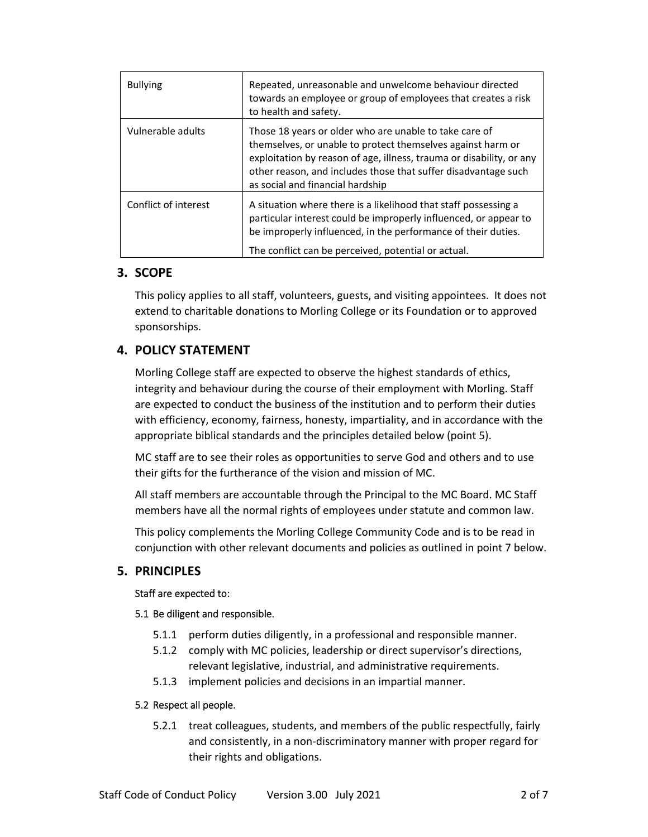| <b>Bullying</b>      | Repeated, unreasonable and unwelcome behaviour directed<br>towards an employee or group of employees that creates a risk<br>to health and safety.                                                                                                                                                   |
|----------------------|-----------------------------------------------------------------------------------------------------------------------------------------------------------------------------------------------------------------------------------------------------------------------------------------------------|
| Vulnerable adults    | Those 18 years or older who are unable to take care of<br>themselves, or unable to protect themselves against harm or<br>exploitation by reason of age, illness, trauma or disability, or any<br>other reason, and includes those that suffer disadvantage such<br>as social and financial hardship |
| Conflict of interest | A situation where there is a likelihood that staff possessing a<br>particular interest could be improperly influenced, or appear to<br>be improperly influenced, in the performance of their duties.<br>The conflict can be perceived, potential or actual.                                         |

## **3. SCOPE**

This policy applies to all staff, volunteers, guests, and visiting appointees. It does not extend to charitable donations to Morling College or its Foundation or to approved sponsorships.

# **4. POLICY STATEMENT**

Morling College staff are expected to observe the highest standards of ethics, integrity and behaviour during the course of their employment with Morling. Staff are expected to conduct the business of the institution and to perform their duties with efficiency, economy, fairness, honesty, impartiality, and in accordance with the appropriate biblical standards and the principles detailed below (point 5).

MC staff are to see their roles as opportunities to serve God and others and to use their gifts for the furtherance of the vision and mission of MC.

All staff members are accountable through the Principal to the MC Board. MC Staff members have all the normal rights of employees under statute and common law.

This policy complements the Morling College Community Code and is to be read in conjunction with other relevant documents and policies as outlined in point 7 below.

### **5. PRINCIPLES**

#### Staff are expected to:

#### 5.1 Be diligent and responsible.

- 5.1.1 perform duties diligently, in a professional and responsible manner.
- 5.1.2 comply with MC policies, leadership or direct supervisor's directions, relevant legislative, industrial, and administrative requirements.
- 5.1.3 implement policies and decisions in an impartial manner.

#### 5.2 Respect all people.

5.2.1 treat colleagues, students, and members of the public respectfully, fairly and consistently, in a non‐discriminatory manner with proper regard for their rights and obligations.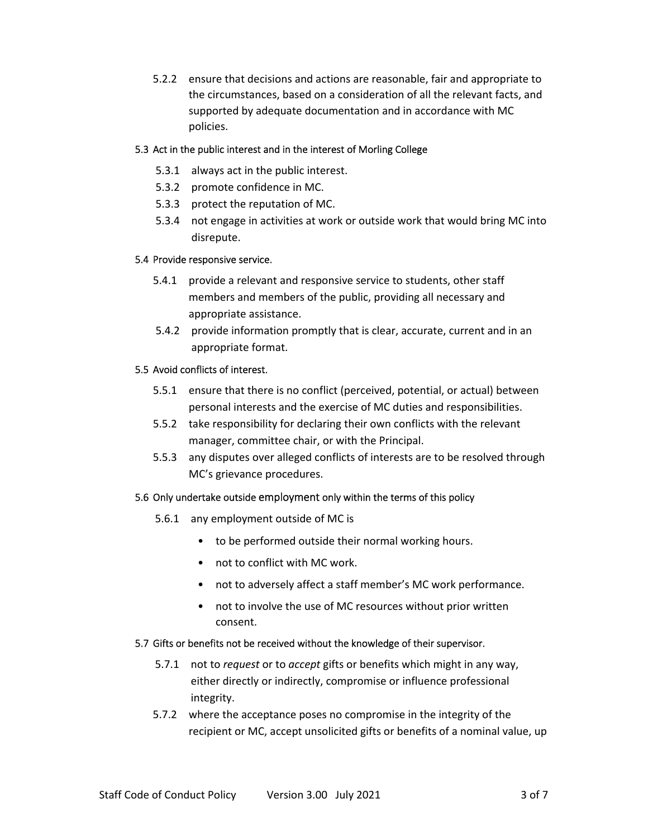5.2.2 ensure that decisions and actions are reasonable, fair and appropriate to the circumstances, based on a consideration of all the relevant facts, and supported by adequate documentation and in accordance with MC policies.

#### 5.3 Act in the public interest and in the interest of Morling College

- 5.3.1 always act in the public interest.
- 5.3.2 promote confidence in MC.
- 5.3.3 protect the reputation of MC.
- 5.3.4 not engage in activities at work or outside work that would bring MC into disrepute.

#### 5.4 Provide responsive service.

- 5.4.1 provide a relevant and responsive service to students, other staff members and members of the public, providing all necessary and appropriate assistance.
- 5.4.2 provide information promptly that is clear, accurate, current and in an appropriate format.

#### 5.5 Avoid conflicts of interest.

- 5.5.1 ensure that there is no conflict (perceived, potential, or actual) between personal interests and the exercise of MC duties and responsibilities.
- 5.5.2 take responsibility for declaring their own conflicts with the relevant manager, committee chair, or with the Principal.
- 5.5.3 any disputes over alleged conflicts of interests are to be resolved through MC's grievance procedures.

#### 5.6 Only undertake outside employment only within the terms of this policy

- 5.6.1 any employment outside of MC is
	- to be performed outside their normal working hours.
	- not to conflict with MC work.
	- not to adversely affect a staff member's MC work performance.
	- not to involve the use of MC resources without prior written consent.

#### 5.7 Gifts or benefits not be received without the knowledge of their supervisor.

- 5.7.1 not to *request* or to *accept* gifts or benefits which might in any way, either directly or indirectly, compromise or influence professional integrity.
- 5.7.2 where the acceptance poses no compromise in the integrity of the recipient or MC, accept unsolicited gifts or benefits of a nominal value, up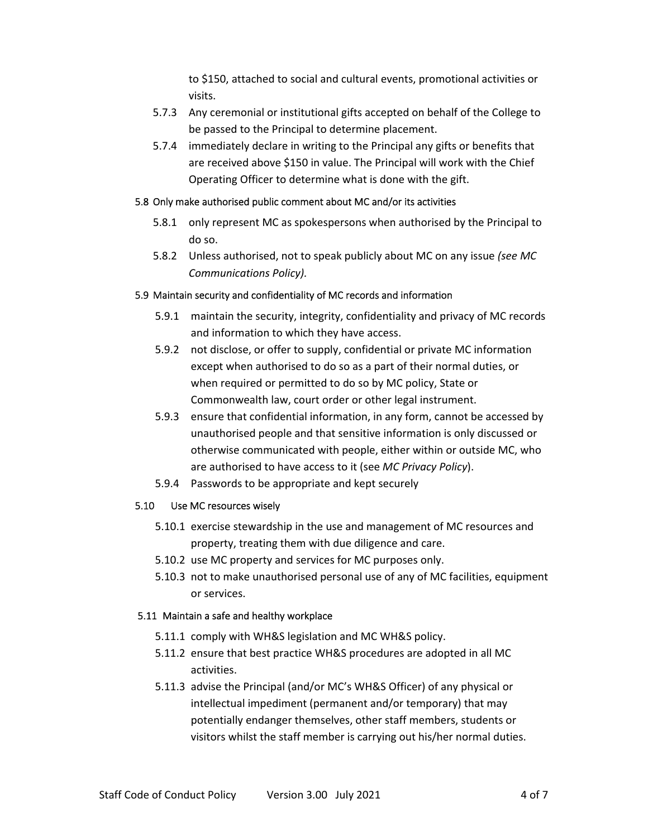to \$150, attached to social and cultural events, promotional activities or visits.

- 5.7.3 Any ceremonial or institutional gifts accepted on behalf of the College to be passed to the Principal to determine placement.
- 5.7.4 immediately declare in writing to the Principal any gifts or benefits that are received above \$150 in value. The Principal will work with the Chief Operating Officer to determine what is done with the gift.

#### 5.8 Only make authorised public comment about MC and/or its activities

- 5.8.1 only represent MC as spokespersons when authorised by the Principal to do so.
- 5.8.2 Unless authorised, not to speak publicly about MC on any issue *(see MC Communications Policy).*

#### 5.9 Maintain security and confidentiality of MC records and information

- 5.9.1 maintain the security, integrity, confidentiality and privacy of MC records and information to which they have access.
- 5.9.2 not disclose, or offer to supply, confidential or private MC information except when authorised to do so as a part of their normal duties, or when required or permitted to do so by MC policy, State or Commonwealth law, court order or other legal instrument.
- 5.9.3 ensure that confidential information, in any form, cannot be accessed by unauthorised people and that sensitive information is only discussed or otherwise communicated with people, either within or outside MC, who are authorised to have access to it (see *MC Privacy Policy*).
- 5.9.4 Passwords to be appropriate and kept securely

#### 5.10 Use MC resources wisely

- 5.10.1 exercise stewardship in the use and management of MC resources and property, treating them with due diligence and care.
- 5.10.2 use MC property and services for MC purposes only.
- 5.10.3 not to make unauthorised personal use of any of MC facilities, equipment or services.

#### 5.11 Maintain a safe and healthy workplace

- 5.11.1 comply with WH&S legislation and MC WH&S policy.
- 5.11.2 ensure that best practice WH&S procedures are adopted in all MC activities.
- 5.11.3 advise the Principal (and/or MC's WH&S Officer) of any physical or intellectual impediment (permanent and/or temporary) that may potentially endanger themselves, other staff members, students or visitors whilst the staff member is carrying out his/her normal duties.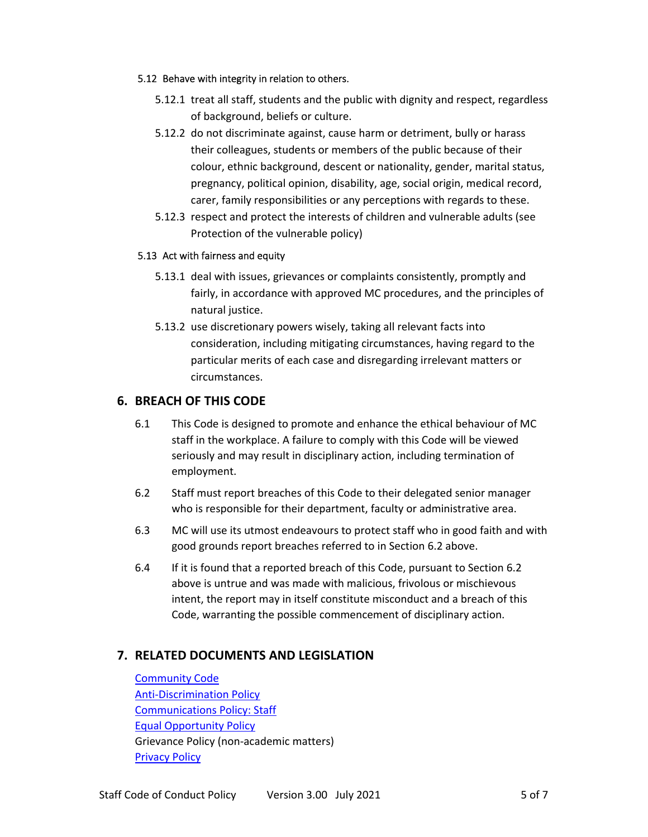#### 5.12 Behave with integrity in relation to others.

- 5.12.1 treat all staff, students and the public with dignity and respect, regardless of background, beliefs or culture.
- 5.12.2 do not discriminate against, cause harm or detriment, bully or harass their colleagues, students or members of the public because of their colour, ethnic background, descent or nationality, gender, marital status, pregnancy, political opinion, disability, age, social origin, medical record, carer, family responsibilities or any perceptions with regards to these.
- 5.12.3 respect and protect the interests of children and vulnerable adults (see Protection of the vulnerable policy)

#### 5.13 Act with fairness and equity

- 5.13.1 deal with issues, grievances or complaints consistently, promptly and fairly, in accordance with approved MC procedures, and the principles of natural justice.
- 5.13.2 use discretionary powers wisely, taking all relevant facts into consideration, including mitigating circumstances, having regard to the particular merits of each case and disregarding irrelevant matters or circumstances.

### **6. BREACH OF THIS CODE**

- 6.1 This Code is designed to promote and enhance the ethical behaviour of MC staff in the workplace. A failure to comply with this Code will be viewed seriously and may result in disciplinary action, including termination of employment.
- 6.2 Staff must report breaches of this Code to their delegated senior manager who is responsible for their department, faculty or administrative area.
- 6.3 MC will use its utmost endeavours to protect staff who in good faith and with good grounds report breaches referred to in Section 6.2 above.
- 6.4 If it is found that a reported breach of this Code, pursuant to Section 6.2 above is untrue and was made with malicious, frivolous or mischievous intent, the report may in itself constitute misconduct and a breach of this Code, warranting the possible commencement of disciplinary action.

# **7. RELATED DOCUMENTS AND LEGISLATION**

**Community Code Anti-Discrimination Policy** Communications Policy: Staff Equal Opportunity Policy Grievance Policy (non‐academic matters) Privacy Policy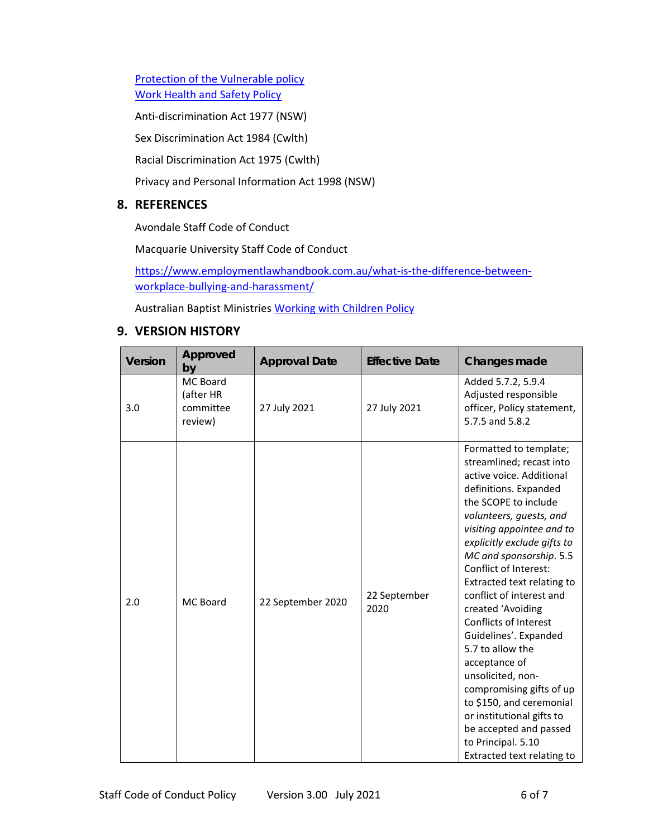Protection of the Vulnerable policy Work Health and Safety Policy

Anti-discrimination Act 1977 (NSW)

Sex Discrimination Act 1984 (Cwlth)

Racial Discrimination Act 1975 (Cwlth)

Privacy and Personal Information Act 1998 (NSW)

### **8. REFERENCES**

Avondale Staff Code of Conduct

Macquarie University Staff Code of Conduct

https://www.employmentlawhandbook.com.au/what-is-the-difference-betweenworkplace‐bullying‐and‐harassment/

Australian Baptist Ministries Working with Children Policy

### **9. VERSION HISTORY**

| <b>Version</b> | Approved<br>by                                | <b>Approval Date</b> | <b>Effective Date</b> | Changes made                                                                                                                                                                                                                                                                                                                                                                                                                                                                                                                                                                                                                             |
|----------------|-----------------------------------------------|----------------------|-----------------------|------------------------------------------------------------------------------------------------------------------------------------------------------------------------------------------------------------------------------------------------------------------------------------------------------------------------------------------------------------------------------------------------------------------------------------------------------------------------------------------------------------------------------------------------------------------------------------------------------------------------------------------|
| 3.0            | MC Board<br>(after HR<br>committee<br>review) | 27 July 2021         | 27 July 2021          | Added 5.7.2, 5.9.4<br>Adjusted responsible<br>officer, Policy statement,<br>5.7.5 and 5.8.2                                                                                                                                                                                                                                                                                                                                                                                                                                                                                                                                              |
| 2.0            | MC Board                                      | 22 September 2020    | 22 September<br>2020  | Formatted to template;<br>streamlined; recast into<br>active voice. Additional<br>definitions. Expanded<br>the SCOPE to include<br>volunteers, guests, and<br>visiting appointee and to<br>explicitly exclude gifts to<br>MC and sponsorship. 5.5<br>Conflict of Interest:<br>Extracted text relating to<br>conflict of interest and<br>created 'Avoiding<br>Conflicts of Interest<br>Guidelines'. Expanded<br>5.7 to allow the<br>acceptance of<br>unsolicited, non-<br>compromising gifts of up<br>to \$150, and ceremonial<br>or institutional gifts to<br>be accepted and passed<br>to Principal. 5.10<br>Extracted text relating to |